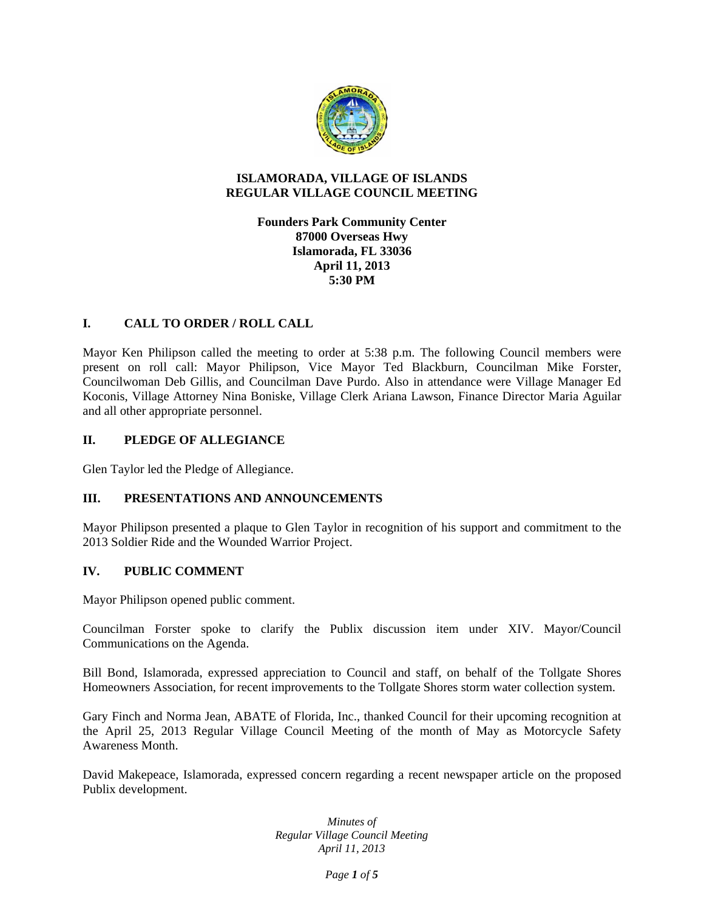

## **ISLAMORADA, VILLAGE OF ISLANDS REGULAR VILLAGE COUNCIL MEETING**

**Founders Park Community Center 87000 Overseas Hwy Islamorada, FL 33036 April 11, 2013 5:30 PM** 

# **I. CALL TO ORDER / ROLL CALL**

Mayor Ken Philipson called the meeting to order at 5:38 p.m. The following Council members were present on roll call: Mayor Philipson, Vice Mayor Ted Blackburn, Councilman Mike Forster, Councilwoman Deb Gillis, and Councilman Dave Purdo. Also in attendance were Village Manager Ed Koconis, Village Attorney Nina Boniske, Village Clerk Ariana Lawson, Finance Director Maria Aguilar and all other appropriate personnel.

# **II. PLEDGE OF ALLEGIANCE**

Glen Taylor led the Pledge of Allegiance.

## **III. PRESENTATIONS AND ANNOUNCEMENTS**

Mayor Philipson presented a plaque to Glen Taylor in recognition of his support and commitment to the 2013 Soldier Ride and the Wounded Warrior Project.

## **IV. PUBLIC COMMENT**

Mayor Philipson opened public comment.

Councilman Forster spoke to clarify the Publix discussion item under XIV. Mayor/Council Communications on the Agenda.

Bill Bond, Islamorada, expressed appreciation to Council and staff, on behalf of the Tollgate Shores Homeowners Association, for recent improvements to the Tollgate Shores storm water collection system.

Gary Finch and Norma Jean, ABATE of Florida, Inc., thanked Council for their upcoming recognition at the April 25, 2013 Regular Village Council Meeting of the month of May as Motorcycle Safety Awareness Month.

David Makepeace, Islamorada, expressed concern regarding a recent newspaper article on the proposed Publix development.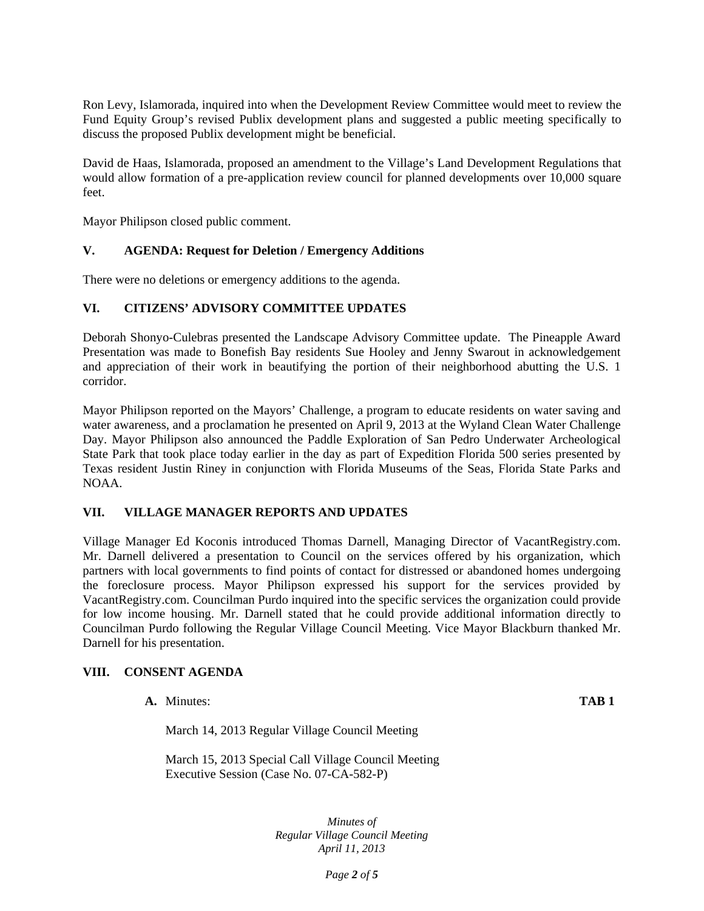Ron Levy, Islamorada, inquired into when the Development Review Committee would meet to review the Fund Equity Group's revised Publix development plans and suggested a public meeting specifically to discuss the proposed Publix development might be beneficial.

David de Haas, Islamorada, proposed an amendment to the Village's Land Development Regulations that would allow formation of a pre-application review council for planned developments over 10,000 square feet.

Mayor Philipson closed public comment.

## **V. AGENDA: Request for Deletion / Emergency Additions**

There were no deletions or emergency additions to the agenda.

#### **VI. CITIZENS' ADVISORY COMMITTEE UPDATES**

Deborah Shonyo-Culebras presented the Landscape Advisory Committee update. The Pineapple Award Presentation was made to Bonefish Bay residents Sue Hooley and Jenny Swarout in acknowledgement and appreciation of their work in beautifying the portion of their neighborhood abutting the U.S. 1 corridor.

Mayor Philipson reported on the Mayors' Challenge, a program to educate residents on water saving and water awareness, and a proclamation he presented on April 9, 2013 at the Wyland Clean Water Challenge Day. Mayor Philipson also announced the Paddle Exploration of San Pedro Underwater Archeological State Park that took place today earlier in the day as part of Expedition Florida 500 series presented by Texas resident Justin Riney in conjunction with Florida Museums of the Seas, Florida State Parks and NOAA.

## **VII. VILLAGE MANAGER REPORTS AND UPDATES**

Village Manager Ed Koconis introduced Thomas Darnell, Managing Director of VacantRegistry.com. Mr. Darnell delivered a presentation to Council on the services offered by his organization, which partners with local governments to find points of contact for distressed or abandoned homes undergoing the foreclosure process. Mayor Philipson expressed his support for the services provided by VacantRegistry.com. Councilman Purdo inquired into the specific services the organization could provide for low income housing. Mr. Darnell stated that he could provide additional information directly to Councilman Purdo following the Regular Village Council Meeting. Vice Mayor Blackburn thanked Mr. Darnell for his presentation.

#### **VIII. CONSENT AGENDA**

| TAB <sub>1</sub> |
|------------------|
|                  |

March 14, 2013 Regular Village Council Meeting

March 15, 2013 Special Call Village Council Meeting Executive Session (Case No. 07-CA-582-P)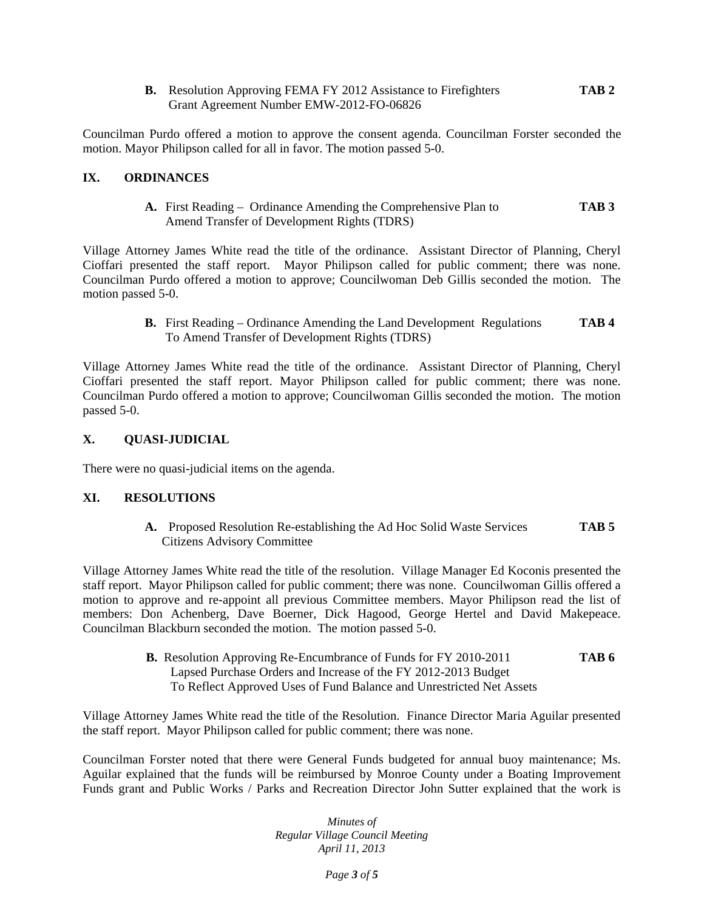**B.** Resolution Approving FEMA FY 2012 Assistance to Firefighters **TAB 2**  Grant Agreement Number EMW-2012-FO-06826

Councilman Purdo offered a motion to approve the consent agenda. Councilman Forster seconded the motion. Mayor Philipson called for all in favor. The motion passed 5-0.

## **IX. ORDINANCES**

**A.** First Reading – Ordinance Amending the Comprehensive Plan to **TAB 3** Amend Transfer of Development Rights (TDRS)

Village Attorney James White read the title of the ordinance. Assistant Director of Planning, Cheryl Cioffari presented the staff report. Mayor Philipson called for public comment; there was none. Councilman Purdo offered a motion to approve; Councilwoman Deb Gillis seconded the motion. The motion passed 5-0.

> **B.** First Reading – Ordinance Amending the Land Development Regulations **TAB 4** To Amend Transfer of Development Rights (TDRS)

Village Attorney James White read the title of the ordinance. Assistant Director of Planning, Cheryl Cioffari presented the staff report. Mayor Philipson called for public comment; there was none. Councilman Purdo offered a motion to approve; Councilwoman Gillis seconded the motion. The motion passed 5-0.

## **X. QUASI-JUDICIAL**

There were no quasi-judicial items on the agenda.

## **XI. RESOLUTIONS**

**A.** Proposed Resolution Re-establishing the Ad Hoc Solid Waste Services **TAB 5**  Citizens Advisory Committee

Village Attorney James White read the title of the resolution. Village Manager Ed Koconis presented the staff report. Mayor Philipson called for public comment; there was none. Councilwoman Gillis offered a motion to approve and re-appoint all previous Committee members. Mayor Philipson read the list of members: Don Achenberg, Dave Boerner, Dick Hagood, George Hertel and David Makepeace. Councilman Blackburn seconded the motion. The motion passed 5-0.

> **B.** Resolution Approving Re-Encumbrance of Funds for FY 2010-2011 **TAB 6**  Lapsed Purchase Orders and Increase of the FY 2012-2013 Budget To Reflect Approved Uses of Fund Balance and Unrestricted Net Assets

Village Attorney James White read the title of the Resolution. Finance Director Maria Aguilar presented the staff report. Mayor Philipson called for public comment; there was none.

Councilman Forster noted that there were General Funds budgeted for annual buoy maintenance; Ms. Aguilar explained that the funds will be reimbursed by Monroe County under a Boating Improvement Funds grant and Public Works / Parks and Recreation Director John Sutter explained that the work is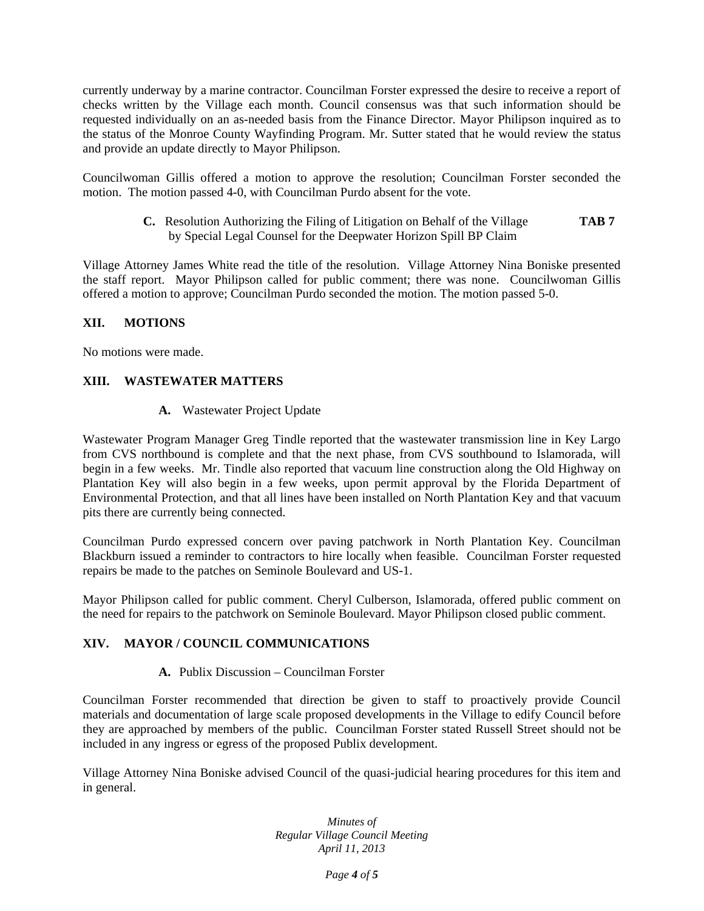currently underway by a marine contractor. Councilman Forster expressed the desire to receive a report of checks written by the Village each month. Council consensus was that such information should be requested individually on an as-needed basis from the Finance Director. Mayor Philipson inquired as to the status of the Monroe County Wayfinding Program. Mr. Sutter stated that he would review the status and provide an update directly to Mayor Philipson.

Councilwoman Gillis offered a motion to approve the resolution; Councilman Forster seconded the motion. The motion passed 4-0, with Councilman Purdo absent for the vote.

> **C.** Resolution Authorizing the Filing of Litigation on Behalf of the Village **TAB 7** by Special Legal Counsel for the Deepwater Horizon Spill BP Claim

Village Attorney James White read the title of the resolution. Village Attorney Nina Boniske presented the staff report. Mayor Philipson called for public comment; there was none. Councilwoman Gillis offered a motion to approve; Councilman Purdo seconded the motion. The motion passed 5-0.

# **XII. MOTIONS**

No motions were made.

## **XIII. WASTEWATER MATTERS**

**A.** Wastewater Project Update

Wastewater Program Manager Greg Tindle reported that the wastewater transmission line in Key Largo from CVS northbound is complete and that the next phase, from CVS southbound to Islamorada, will begin in a few weeks. Mr. Tindle also reported that vacuum line construction along the Old Highway on Plantation Key will also begin in a few weeks, upon permit approval by the Florida Department of Environmental Protection, and that all lines have been installed on North Plantation Key and that vacuum pits there are currently being connected.

Councilman Purdo expressed concern over paving patchwork in North Plantation Key. Councilman Blackburn issued a reminder to contractors to hire locally when feasible. Councilman Forster requested repairs be made to the patches on Seminole Boulevard and US-1.

Mayor Philipson called for public comment. Cheryl Culberson, Islamorada, offered public comment on the need for repairs to the patchwork on Seminole Boulevard. Mayor Philipson closed public comment.

## **XIV. MAYOR / COUNCIL COMMUNICATIONS**

## **A.** Publix Discussion – Councilman Forster

Councilman Forster recommended that direction be given to staff to proactively provide Council materials and documentation of large scale proposed developments in the Village to edify Council before they are approached by members of the public. Councilman Forster stated Russell Street should not be included in any ingress or egress of the proposed Publix development.

Village Attorney Nina Boniske advised Council of the quasi-judicial hearing procedures for this item and in general.